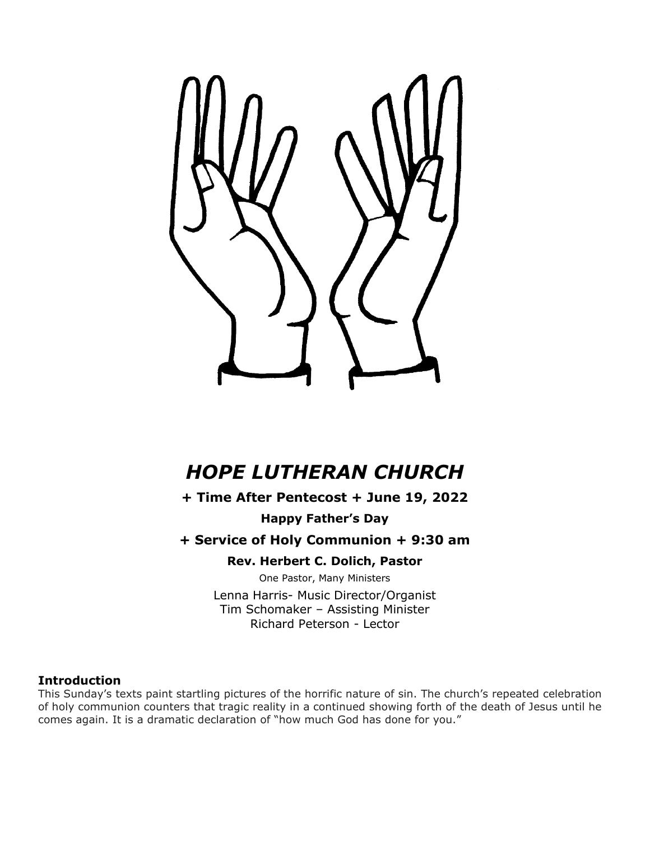

# *HOPE LUTHERAN CHURCH*

**+ Time After Pentecost + June 19, 2022**

**Happy Father's Day**

**+ Service of Holy Communion + 9:30 am**

**Rev. Herbert C. Dolich, Pastor**

One Pastor, Many Ministers

Lenna Harris- Music Director/Organist Tim Schomaker – Assisting Minister Richard Peterson - Lector

## **Introduction**

This Sunday's texts paint startling pictures of the horrific nature of sin. The church's repeated celebration of holy communion counters that tragic reality in a continued showing forth of the death of Jesus until he comes again. It is a dramatic declaration of "how much God has done for you."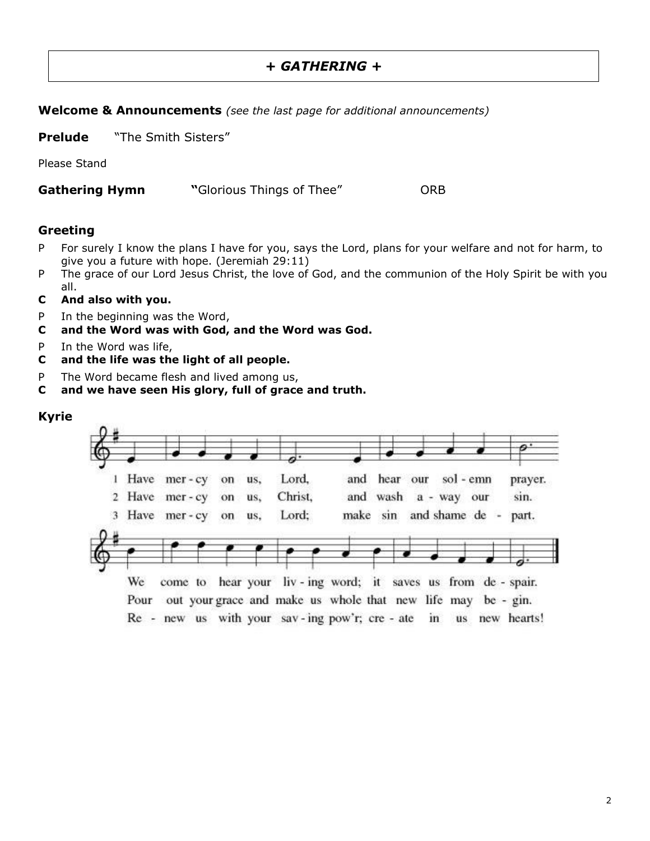## *+ GATHERING +*

#### **Welcome & Announcements** *(see the last page for additional announcements)*

**Prelude** "The Smith Sisters"

Please Stand

**Gathering Hymn "**Glorious Things of Thee" ORB

#### **Greeting**

- P For surely I know the plans I have for you, says the Lord, plans for your welfare and not for harm, to give you a future with hope. (Jeremiah 29:11)
- P The grace of our Lord Jesus Christ, the love of God, and the communion of the Holy Spirit be with you all.
- **C And also with you.**
- P In the beginning was the Word,
- **C and the Word was with God, and the Word was God.**
- P In the Word was life,
- **C and the life was the light of all people.**
- P The Word became flesh and lived among us,
- **C and we have seen His glory, full of grace and truth.**

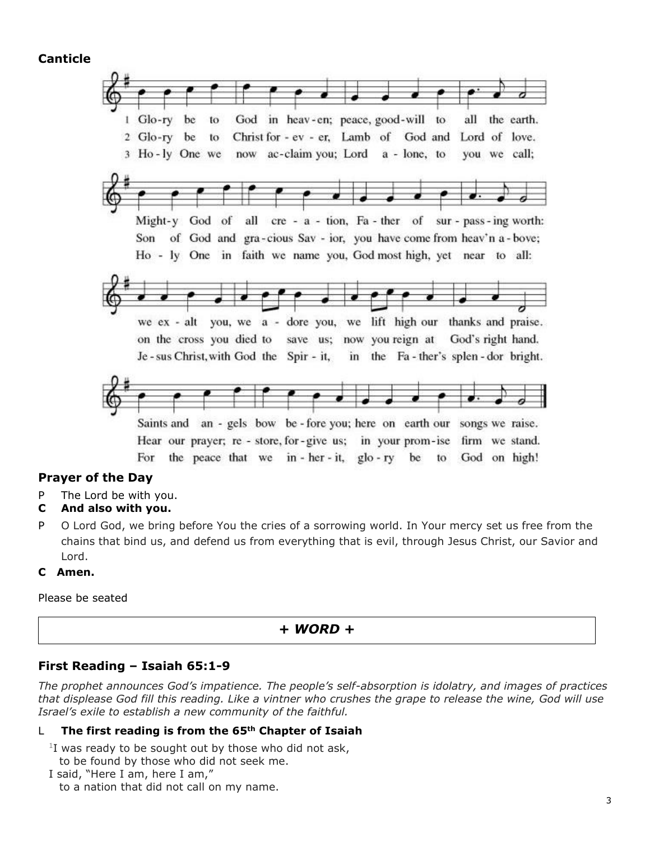**Canticle**



## **Prayer of the Day**

P The Lord be with you.

#### **C And also with you.**

P O Lord God, we bring before You the cries of a sorrowing world. In Your mercy set us free from the chains that bind us, and defend us from everything that is evil, through Jesus Christ, our Savior and Lord.

#### **C Amen.**

Please be seated

#### *+ WORD +*

#### **First Reading – Isaiah 65:1-9**

*The prophet announces God's impatience. The people's self-absorption is idolatry, and images of practices that displease God fill this reading. Like a vintner who crushes the grape to release the wine, God will use Israel's exile to establish a new community of the faithful.*

#### L **The first reading is from the 65th Chapter of Isaiah**

 $1$ I was ready to be sought out by those who did not ask,

to be found by those who did not seek me.

I said, "Here I am, here I am,"

to a nation that did not call on my name.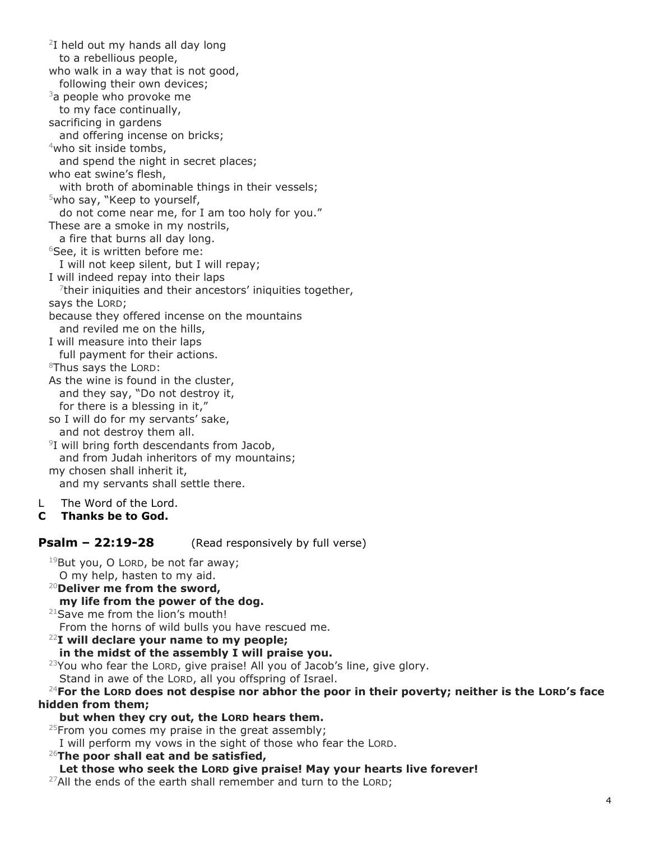2 I held out my hands all day long to a rebellious people, who walk in a way that is not good, following their own devices;  $3a$  people who provoke me to my face continually, sacrificing in gardens and offering incense on bricks; <sup>4</sup>who sit inside tombs, and spend the night in secret places; who eat swine's flesh, with broth of abominable things in their vessels;  $5$ who say, "Keep to yourself, do not come near me, for I am too holy for you." These are a smoke in my nostrils, a fire that burns all day long. <sup>6</sup>See, it is written before me: I will not keep silent, but I will repay; I will indeed repay into their laps  $7$ their iniquities and their ancestors' iniquities together, says the LORD; because they offered incense on the mountains and reviled me on the hills, I will measure into their laps full payment for their actions. <sup>8</sup>Thus says the LORD: As the wine is found in the cluster, and they say, "Do not destroy it, for there is a blessing in it," so I will do for my servants' sake, and not destroy them all. 9 I will bring forth descendants from Jacob, and from Judah inheritors of my mountains; my chosen shall inherit it,

and my servants shall settle there.

## L The Word of the Lord.

**C Thanks be to God.**

**Psalm – 22:19-28** (Read responsively by full verse)

 $19$ But you, O LORD, be not far away; O my help, hasten to my aid.

- <sup>20</sup>**Deliver me from the sword,**
- **my life from the power of the dog.**
- <sup>21</sup>Save me from the lion's mouth!

From the horns of wild bulls you have rescued me.

#### <sup>22</sup>**I will declare your name to my people;**

#### **in the midst of the assembly I will praise you.**

<sup>23</sup>You who fear the LORD, give praise! All you of Jacob's line, give glory.

Stand in awe of the LORD, all you offspring of Israel.

<sup>24</sup>**For the LORD does not despise nor abhor the poor in their poverty; neither is the LORD's face hidden from them;**

#### **but when they cry out, the LORD hears them.**

 $25$ From you comes my praise in the great assembly;

I will perform my vows in the sight of those who fear the LORD.

<sup>26</sup>**The poor shall eat and be satisfied,**

#### **Let those who seek the LORD give praise! May your hearts live forever!**

 $27$ All the ends of the earth shall remember and turn to the LORD;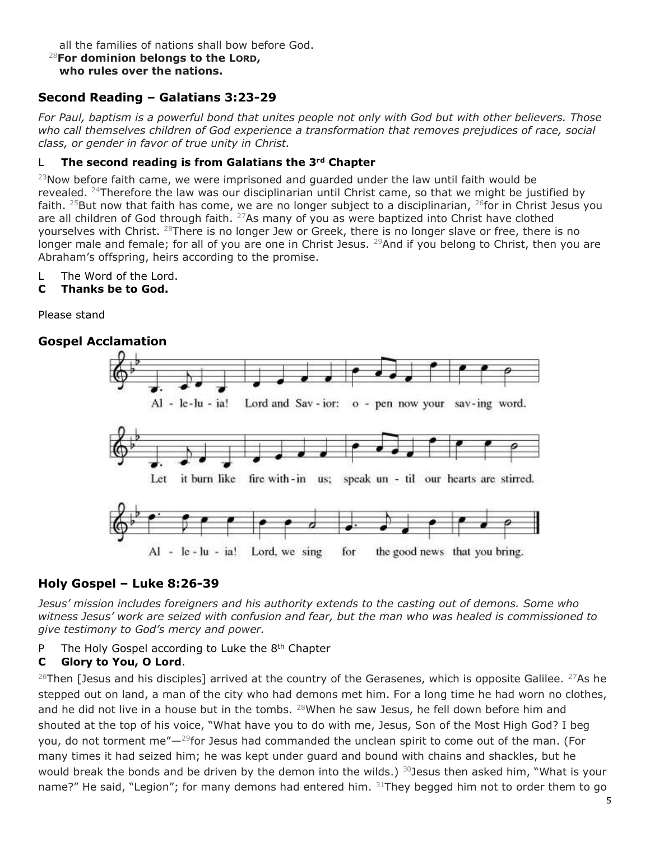all the families of nations shall bow before God.

#### <sup>28</sup>**For dominion belongs to the LORD, who rules over the nations.**

## **Second Reading – Galatians 3:23-29**

*For Paul, baptism is a powerful bond that unites people not only with God but with other believers. Those who call themselves children of God experience a transformation that removes prejudices of race, social class, or gender in favor of true unity in Christ.*

#### L **The second reading is from Galatians the 3rd Chapter**

 $^{23}$ Now before faith came, we were imprisoned and quarded under the law until faith would be revealed. <sup>24</sup>Therefore the law was our disciplinarian until Christ came, so that we might be justified by faith. <sup>25</sup>But now that faith has come, we are no longer subject to a disciplinarian, <sup>26</sup>for in Christ Jesus you are all children of God through faith.  $27$ As many of you as were baptized into Christ have clothed yourselves with Christ.  $28$ There is no longer Jew or Greek, there is no longer slave or free, there is no longer male and female; for all of you are one in Christ Jesus. <sup>29</sup>And if you belong to Christ, then you are Abraham's offspring, heirs according to the promise.

L The Word of the Lord.

#### **C Thanks be to God.**

Please stand

## **Gospel Acclamation**



## **Holy Gospel – Luke 8:26-39**

*Jesus' mission includes foreigners and his authority extends to the casting out of demons. Some who witness Jesus' work are seized with confusion and fear, but the man who was healed is commissioned to give testimony to God's mercy and power.*

P The Holy Gospel according to Luke the 8<sup>th</sup> Chapter

## **C Glory to You, O Lord**.

<sup>26</sup>Then [Jesus and his disciples] arrived at the country of the Gerasenes, which is opposite Galilee. <sup>27</sup>As he stepped out on land, a man of the city who had demons met him. For a long time he had worn no clothes, and he did not live in a house but in the tombs.  $28$ When he saw Jesus, he fell down before him and shouted at the top of his voice, "What have you to do with me, Jesus, Son of the Most High God? I beg you, do not torment me"—<sup>29</sup>for Jesus had commanded the unclean spirit to come out of the man. (For many times it had seized him; he was kept under guard and bound with chains and shackles, but he would break the bonds and be driven by the demon into the wilds.)  $30$  Jesus then asked him, "What is your name?" He said, "Legion"; for many demons had entered him.  $31$ They begged him not to order them to go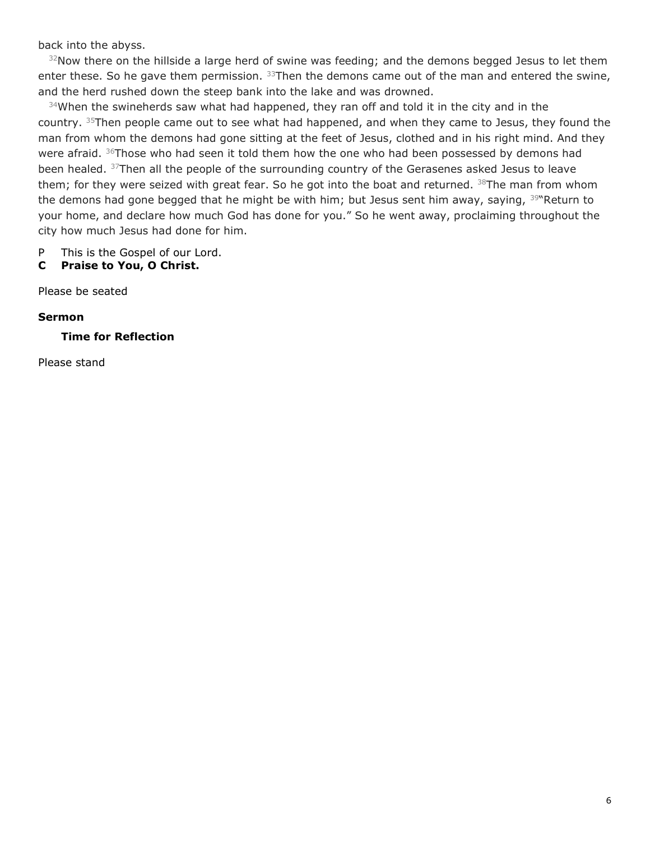back into the abyss.

 $32$ Now there on the hillside a large herd of swine was feeding; and the demons begged Jesus to let them enter these. So he gave them permission.  $33$ Then the demons came out of the man and entered the swine, and the herd rushed down the steep bank into the lake and was drowned.

 $34$ When the swineherds saw what had happened, they ran off and told it in the city and in the country. <sup>35</sup>Then people came out to see what had happened, and when they came to Jesus, they found the man from whom the demons had gone sitting at the feet of Jesus, clothed and in his right mind. And they were afraid.  $36$ Those who had seen it told them how the one who had been possessed by demons had been healed. <sup>37</sup>Then all the people of the surrounding country of the Gerasenes asked Jesus to leave them; for they were seized with great fear. So he got into the boat and returned.  $38$ The man from whom the demons had gone begged that he might be with him; but Jesus sent him away, saying, <sup>39</sup> Return to your home, and declare how much God has done for you." So he went away, proclaiming throughout the city how much Jesus had done for him.

- P This is the Gospel of our Lord.
- **C Praise to You, O Christ.**

Please be seated

#### **Sermon**

**Time for Reflection**

Please stand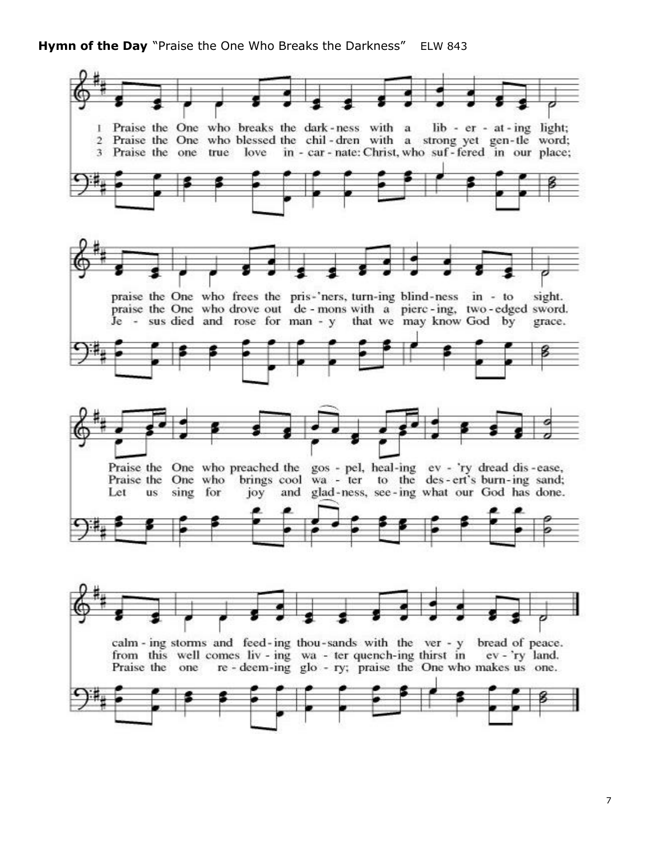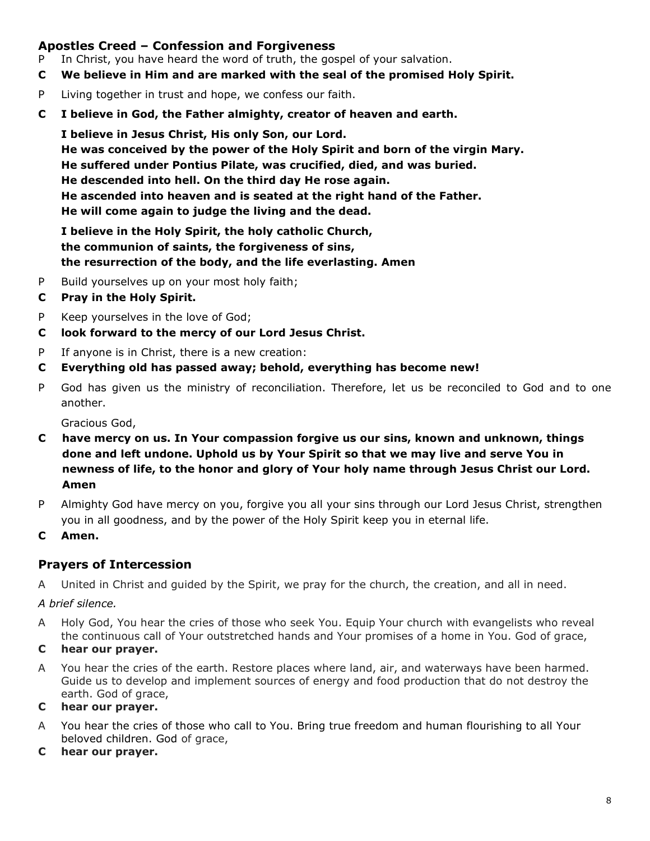## **Apostles Creed – Confession and Forgiveness**

- P In Christ, you have heard the word of truth, the gospel of your salvation.
- **C We believe in Him and are marked with the seal of the promised Holy Spirit.**
- P Living together in trust and hope, we confess our faith.
- **C I believe in God, the Father almighty, creator of heaven and earth.**

 **I believe in Jesus Christ, His only Son, our Lord. He was conceived by the power of the Holy Spirit and born of the virgin Mary. He suffered under Pontius Pilate, was crucified, died, and was buried. He descended into hell. On the third day He rose again. He ascended into heaven and is seated at the right hand of the Father. He will come again to judge the living and the dead.**

 **I believe in the Holy Spirit, the holy catholic Church, the communion of saints, the forgiveness of sins, the resurrection of the body, and the life everlasting. Amen**

- P Build yourselves up on your most holy faith;
- **C Pray in the Holy Spirit.**
- P Keep yourselves in the love of God;
- **C look forward to the mercy of our Lord Jesus Christ.**
- P If anyone is in Christ, there is a new creation:
- **C Everything old has passed away; behold, everything has become new!**
- P God has given us the ministry of reconciliation. Therefore, let us be reconciled to God and to one another.

Gracious God,

- **C have mercy on us. In Your compassion forgive us our sins, known and unknown, things done and left undone. Uphold us by Your Spirit so that we may live and serve You in newness of life, to the honor and glory of Your holy name through Jesus Christ our Lord. Amen**
- P Almighty God have mercy on you, forgive you all your sins through our Lord Jesus Christ, strengthen you in all goodness, and by the power of the Holy Spirit keep you in eternal life.
- **C Amen.**

## **Prayers of Intercession**

A United in Christ and guided by the Spirit, we pray for the church, the creation, and all in need.

*A brief silence.*

- A Holy God, You hear the cries of those who seek You. Equip Your church with evangelists who reveal the continuous call of Your outstretched hands and Your promises of a home in You. God of grace,
- **C hear our prayer.**
- A You hear the cries of the earth. Restore places where land, air, and waterways have been harmed. Guide us to develop and implement sources of energy and food production that do not destroy the earth. God of grace,

#### **C hear our prayer.**

- A You hear the cries of those who call to You. Bring true freedom and human flourishing to all Your beloved children. God of grace,
- **C hear our prayer.**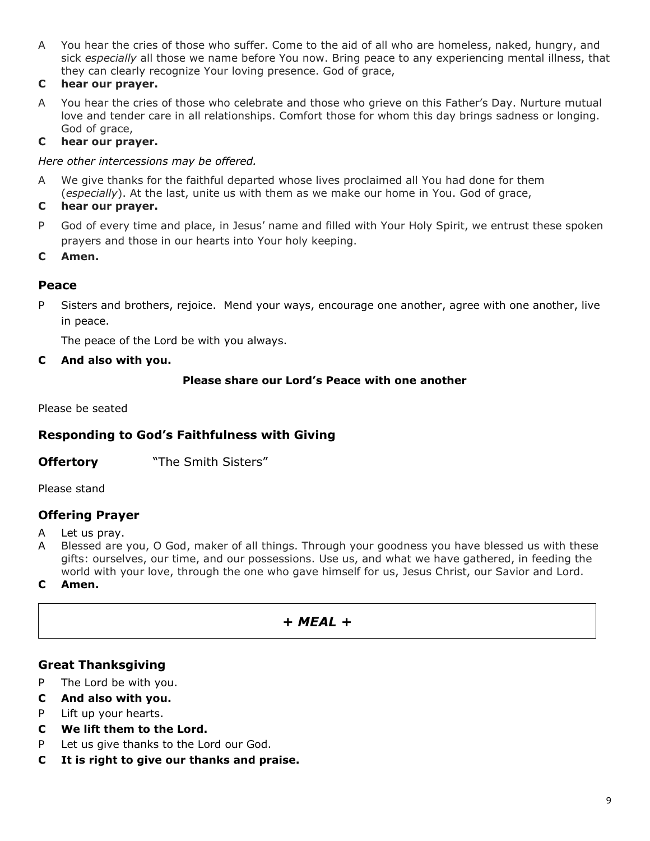A You hear the cries of those who suffer. Come to the aid of all who are homeless, naked, hungry, and sick *especially* all those we name before You now. Bring peace to any experiencing mental illness, that they can clearly recognize Your loving presence. God of grace,

#### **C hear our prayer.**

A You hear the cries of those who celebrate and those who grieve on this Father's Day. Nurture mutual love and tender care in all relationships. Comfort those for whom this day brings sadness or longing. God of grace,

#### **C hear our prayer.**

*Here other intercessions may be offered.*

A We give thanks for the faithful departed whose lives proclaimed all You had done for them (*especially*). At the last, unite us with them as we make our home in You. God of grace,

#### **C hear our prayer.**

- P God of every time and place, in Jesus' name and filled with Your Holy Spirit, we entrust these spoken prayers and those in our hearts into Your holy keeping.
- **C Amen.**

## **Peace**

P Sisters and brothers, rejoice. Mend your ways, encourage one another, agree with one another, live in peace.

The peace of the Lord be with you always.

**C And also with you.**

#### **Please share our Lord's Peace with one another**

Please be seated

## **Responding to God's Faithfulness with Giving**

**Offertory** "The Smith Sisters"

Please stand

## **Offering Prayer**

- A Let us pray.
- A Blessed are you, O God, maker of all things. Through your goodness you have blessed us with these gifts: ourselves, our time, and our possessions. Use us, and what we have gathered, in feeding the world with your love, through the one who gave himself for us, Jesus Christ, our Savior and Lord.
- **C Amen.**

## *+ MEAL +*

## **Great Thanksgiving**

- P The Lord be with you.
- **C And also with you.**
- P Lift up your hearts.
- **C We lift them to the Lord.**
- P Let us give thanks to the Lord our God.
- **C It is right to give our thanks and praise.**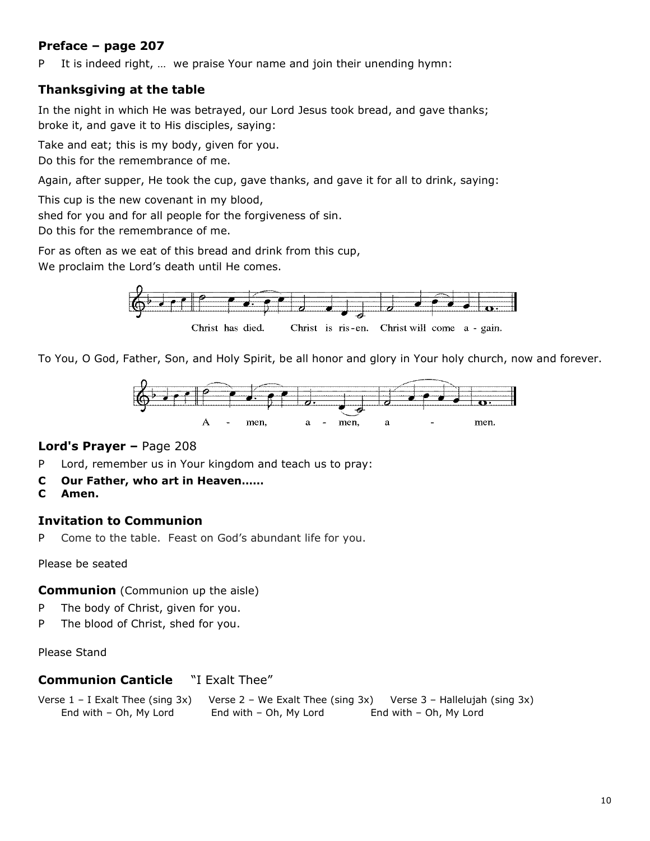## **Preface – page 207**

P It is indeed right, … we praise Your name and join their unending hymn:

## **Thanksgiving at the table**

In the night in which He was betrayed, our Lord Jesus took bread, and gave thanks; broke it, and gave it to His disciples, saying:

Take and eat; this is my body, given for you.

Do this for the remembrance of me.

Again, after supper, He took the cup, gave thanks, and gave it for all to drink, saying:

This cup is the new covenant in my blood,

shed for you and for all people for the forgiveness of sin.

Do this for the remembrance of me.

For as often as we eat of this bread and drink from this cup,

We proclaim the Lord's death until He comes.



Christ has died. Christ is ris-en. Christ will come a - gain.

To You, O God, Father, Son, and Holy Spirit, be all honor and glory in Your holy church, now and forever.



#### **Lord's Prayer –** Page 208

- P Lord, remember us in Your kingdom and teach us to pray:
- **C Our Father, who art in Heaven……**
- **C Amen.**

#### **Invitation to Communion**

P Come to the table. Feast on God's abundant life for you.

Please be seated

#### **Communion** (Communion up the aisle)

- P The body of Christ, given for you.
- P The blood of Christ, shed for you.

Please Stand

#### **Communion Canticle** "I Exalt Thee"

Verse 1 – I Exalt Thee (sing 3x) Verse 2 – We Exalt Thee (sing 3x) Verse 3 – Hallelujah (sing 3x) End with – Oh, My Lord End with – Oh, My Lord End with – Oh, My Lord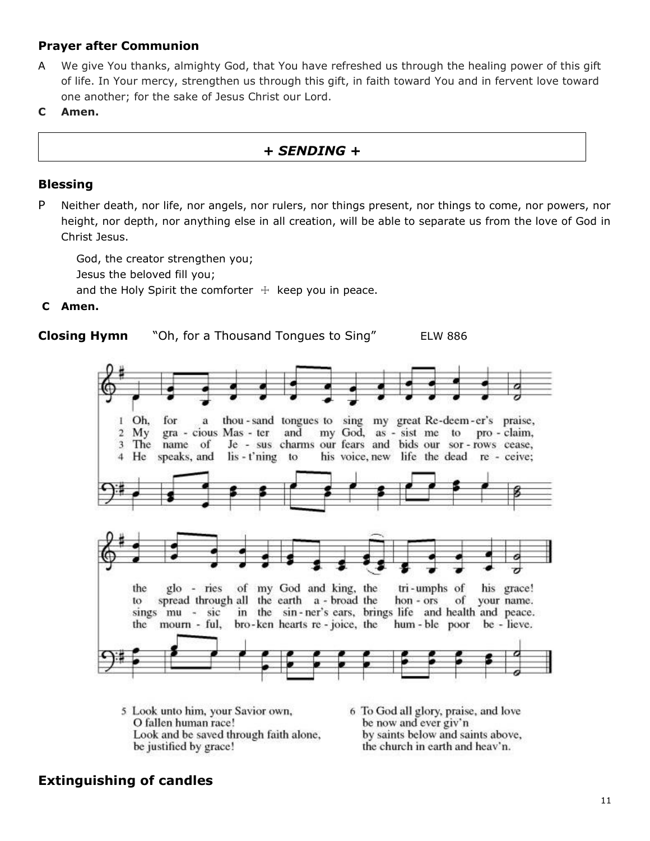## **Prayer after Communion**

- A We give You thanks, almighty God, that You have refreshed us through the healing power of this gift of life. In Your mercy, strengthen us through this gift, in faith toward You and in fervent love toward one another; for the sake of Jesus Christ our Lord.
- **C Amen.**

## *+ SENDING +*

#### **Blessing**

P Neither death, nor life, nor angels, nor rulers, nor things present, nor things to come, nor powers, nor height, nor depth, nor anything else in all creation, will be able to separate us from the love of God in Christ Jesus.

God, the creator strengthen you; Jesus the beloved fill you; and the Holy Spirit the comforter  $+$  keep you in peace.

#### **C Amen.**





- 5 Look unto him, your Savior own, O fallen human race! Look and be saved through faith alone, be justified by grace!
- 6 To God all glory, praise, and love be now and ever giv'n by saints below and saints above, the church in earth and heav'n.

## **Extinguishing of candles**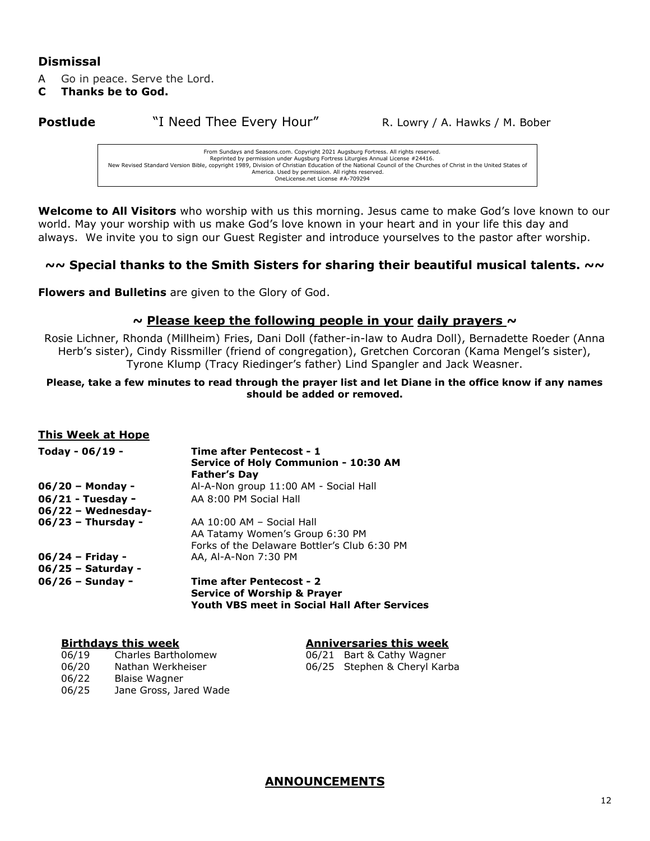#### **Dismissal**

A Go in peace. Serve the Lord.

**C Thanks be to God.**

**Postlude** "I Need Thee Every Hour" R. Lowry / A. Hawks / M. Bober

From Sundays and Seasons.com. Copyright 2021 Augsburg Fortress. All rights reserved. Reprinted by permission under Augsburg Fortress Liturgies Annual License #24416.<br>New Revised Standard Version Bible, copyright 1989, Division of Christian Eduncil of the Churches of Christ in the United States of<br>America. OneLicense.net License #A-709294

**Welcome to All Visitors** who worship with us this morning. Jesus came to make God's love known to our world. May your worship with us make God's love known in your heart and in your life this day and always. We invite you to sign our Guest Register and introduce yourselves to the pastor after worship.

#### **~~ Special thanks to the Smith Sisters for sharing their beautiful musical talents. ~~**

**Flowers and Bulletins** are given to the Glory of God.

#### **~ Please keep the following people in your daily prayers ~**

Rosie Lichner, Rhonda (Millheim) Fries, Dani Doll (father-in-law to Audra Doll), Bernadette Roeder (Anna Herb's sister), Cindy Rissmiller (friend of congregation), Gretchen Corcoran (Kama Mengel's sister), Tyrone Klump (Tracy Riedinger's father) Lind Spangler and Jack Weasner.

#### **Please, take a few minutes to read through the prayer list and let Diane in the office know if any names should be added or removed.**

#### **This Week at Hope**

| Today - 06/19 -      | Time after Pentecost - 1<br>Service of Holy Communion - 10:30 AM<br><b>Father's Day</b> |
|----------------------|-----------------------------------------------------------------------------------------|
| $06/20$ – Monday -   | Al-A-Non group 11:00 AM - Social Hall                                                   |
| 06/21 - Tuesday -    | AA 8:00 PM Social Hall                                                                  |
| $06/22$ – Wednesday- |                                                                                         |
| $06/23$ – Thursday - | AA 10:00 AM - Social Hall                                                               |
|                      | AA Tatamy Women's Group 6:30 PM                                                         |
|                      | Forks of the Delaware Bottler's Club 6:30 PM                                            |
| $06/24$ – Friday -   | AA, Al-A-Non 7:30 PM                                                                    |
| 06/25 - Saturday -   |                                                                                         |
| $06/26$ – Sunday -   | Time after Pentecost - 2                                                                |
|                      | <b>Service of Worship &amp; Prayer</b>                                                  |
|                      | Youth VBS meet in Social Hall After Services                                            |

#### **Birthdays this week Anniversaries this week**

06/19 Charles Bartholomew 06/21 Bart & Cathy Wagner 06/20 Nathan Werkheiser 06/25 Stephen & Cheryl Karba 06/22 Blaise Wagner 06/25 Jane Gross, Jared Wade

#### **ANNOUNCEMENTS**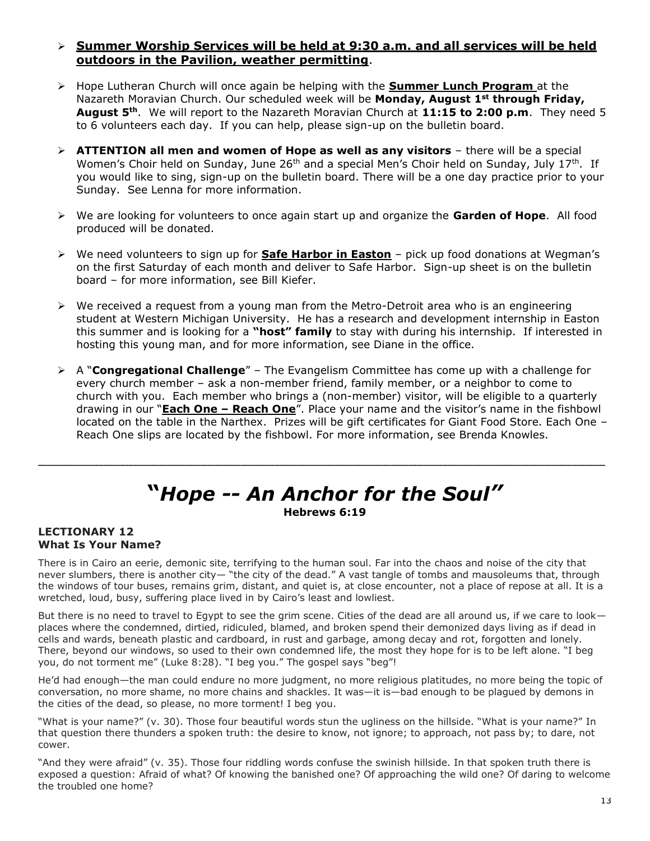#### ➢ **Summer Worship Services will be held at 9:30 a.m. and all services will be held outdoors in the Pavilion, weather permitting**.

- ➢ Hope Lutheran Church will once again be helping with the **Summer Lunch Program** at the Nazareth Moravian Church. Our scheduled week will be **Monday, August 1st through Friday, August 5th**. We will report to the Nazareth Moravian Church at **11:15 to 2:00 p.m**. They need 5 to 6 volunteers each day. If you can help, please sign-up on the bulletin board.
- ➢ **ATTENTION all men and women of Hope as well as any visitors** there will be a special Women's Choir held on Sunday, June 26<sup>th</sup> and a special Men's Choir held on Sunday, July 17<sup>th</sup>. If you would like to sing, sign-up on the bulletin board. There will be a one day practice prior to your Sunday. See Lenna for more information.
- ➢ We are looking for volunteers to once again start up and organize the **Garden of Hope**. All food produced will be donated.
- ➢ We need volunteers to sign up for **Safe Harbor in Easton** pick up food donations at Wegman's on the first Saturday of each month and deliver to Safe Harbor. Sign-up sheet is on the bulletin board – for more information, see Bill Kiefer.
- $\triangleright$  We received a request from a young man from the Metro-Detroit area who is an engineering student at Western Michigan University. He has a research and development internship in Easton this summer and is looking for a **"host" family** to stay with during his internship. If interested in hosting this young man, and for more information, see Diane in the office.
- ➢ A "**Congregational Challenge**" The Evangelism Committee has come up with a challenge for every church member – ask a non-member friend, family member, or a neighbor to come to church with you. Each member who brings a (non-member) visitor, will be eligible to a quarterly drawing in our "**Each One – Reach One**". Place your name and the visitor's name in the fishbowl located on the table in the Narthex. Prizes will be gift certificates for Giant Food Store. Each One – Reach One slips are located by the fishbowl. For more information, see Brenda Knowles.

# **"***Hope -- An Anchor for the Soul"* **Hebrews 6:19**

\_\_\_\_\_\_\_\_\_\_\_\_\_\_\_\_\_\_\_\_\_\_\_\_\_\_\_\_\_\_\_\_\_\_\_\_\_\_\_\_\_\_\_\_\_\_\_\_\_\_\_\_\_\_\_\_\_\_\_\_\_\_\_\_\_\_\_\_\_\_\_\_\_\_\_\_\_\_\_\_\_\_\_\_

#### **LECTIONARY 12 What Is Your Name?**

There is in Cairo an eerie, demonic site, terrifying to the human soul. Far into the chaos and noise of the city that never slumbers, there is another city— "the city of the dead." A vast tangle of tombs and mausoleums that, through the windows of tour buses, remains grim, distant, and quiet is, at close encounter, not a place of repose at all. It is a wretched, loud, busy, suffering place lived in by Cairo's least and lowliest.

But there is no need to travel to Egypt to see the grim scene. Cities of the dead are all around us, if we care to look places where the condemned, dirtied, ridiculed, blamed, and broken spend their demonized days living as if dead in cells and wards, beneath plastic and cardboard, in rust and garbage, among decay and rot, forgotten and lonely. There, beyond our windows, so used to their own condemned life, the most they hope for is to be left alone. "I beg you, do not torment me" (Luke 8:28). "I beg you." The gospel says "beg"!

He'd had enough—the man could endure no more judgment, no more religious platitudes, no more being the topic of conversation, no more shame, no more chains and shackles. It was—it is—bad enough to be plagued by demons in the cities of the dead, so please, no more torment! I beg you.

"What is your name?" (v. 30). Those four beautiful words stun the ugliness on the hillside. "What is your name?" In that question there thunders a spoken truth: the desire to know, not ignore; to approach, not pass by; to dare, not cower.

"And they were afraid" (v. 35). Those four riddling words confuse the swinish hillside. In that spoken truth there is exposed a question: Afraid of what? Of knowing the banished one? Of approaching the wild one? Of daring to welcome the troubled one home?